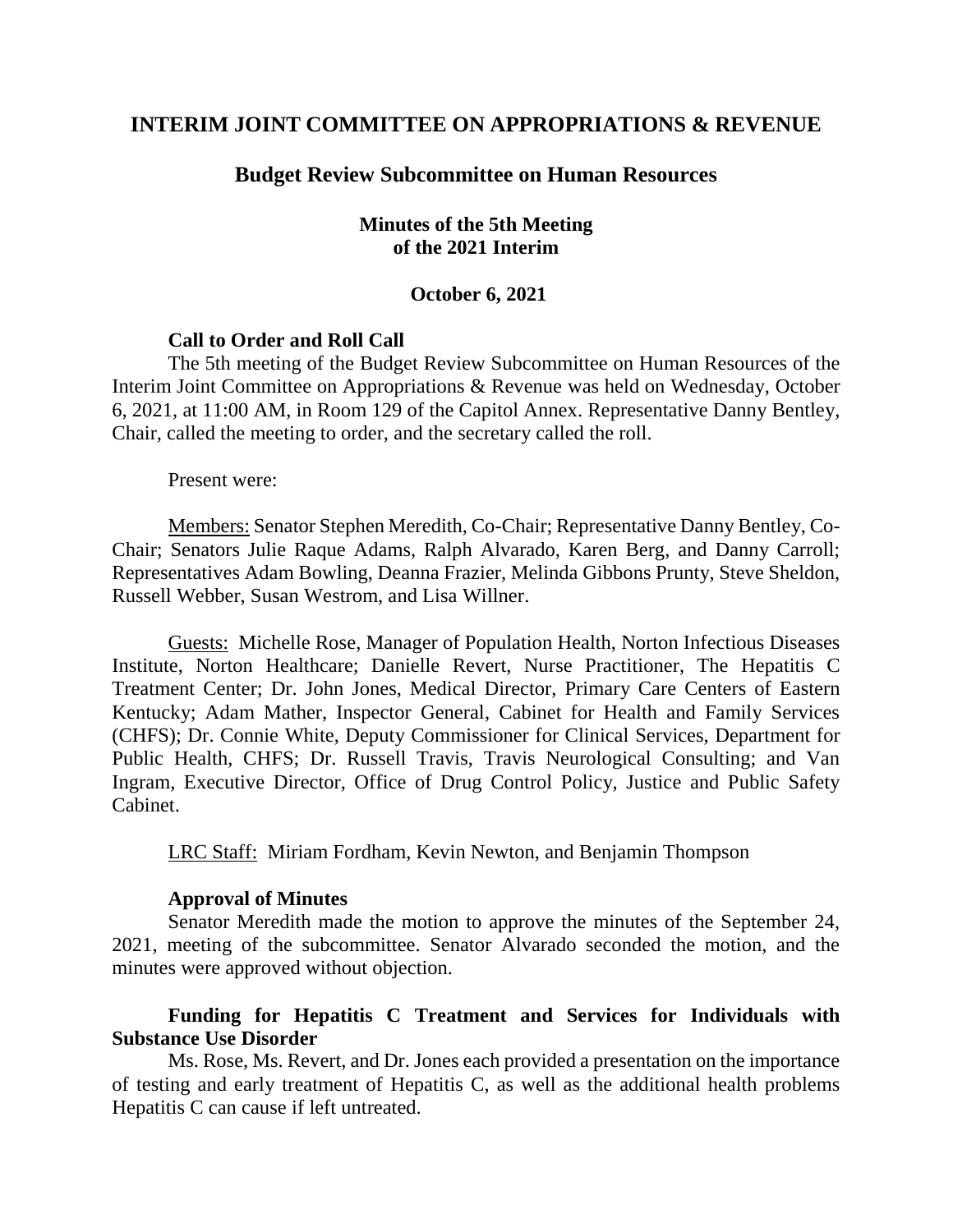# **INTERIM JOINT COMMITTEE ON APPROPRIATIONS & REVENUE**

## **Budget Review Subcommittee on Human Resources**

### **Minutes of the 5th Meeting of the 2021 Interim**

#### **October 6, 2021**

#### **Call to Order and Roll Call**

The 5th meeting of the Budget Review Subcommittee on Human Resources of the Interim Joint Committee on Appropriations & Revenue was held on Wednesday, October 6, 2021, at 11:00 AM, in Room 129 of the Capitol Annex. Representative Danny Bentley, Chair, called the meeting to order, and the secretary called the roll.

Present were:

Members: Senator Stephen Meredith, Co-Chair; Representative Danny Bentley, Co-Chair; Senators Julie Raque Adams, Ralph Alvarado, Karen Berg, and Danny Carroll; Representatives Adam Bowling, Deanna Frazier, Melinda Gibbons Prunty, Steve Sheldon, Russell Webber, Susan Westrom, and Lisa Willner.

Guests: Michelle Rose, Manager of Population Health, Norton Infectious Diseases Institute, Norton Healthcare; Danielle Revert, Nurse Practitioner, The Hepatitis C Treatment Center; Dr. John Jones, Medical Director, Primary Care Centers of Eastern Kentucky; Adam Mather, Inspector General, Cabinet for Health and Family Services (CHFS); Dr. Connie White, Deputy Commissioner for Clinical Services, Department for Public Health, CHFS; Dr. Russell Travis, Travis Neurological Consulting; and Van Ingram, Executive Director, Office of Drug Control Policy, Justice and Public Safety Cabinet.

LRC Staff: Miriam Fordham, Kevin Newton, and Benjamin Thompson

#### **Approval of Minutes**

Senator Meredith made the motion to approve the minutes of the September 24, 2021, meeting of the subcommittee. Senator Alvarado seconded the motion, and the minutes were approved without objection.

## **Funding for Hepatitis C Treatment and Services for Individuals with Substance Use Disorder**

Ms. Rose, Ms. Revert, and Dr. Jones each provided a presentation on the importance of testing and early treatment of Hepatitis C, as well as the additional health problems Hepatitis C can cause if left untreated.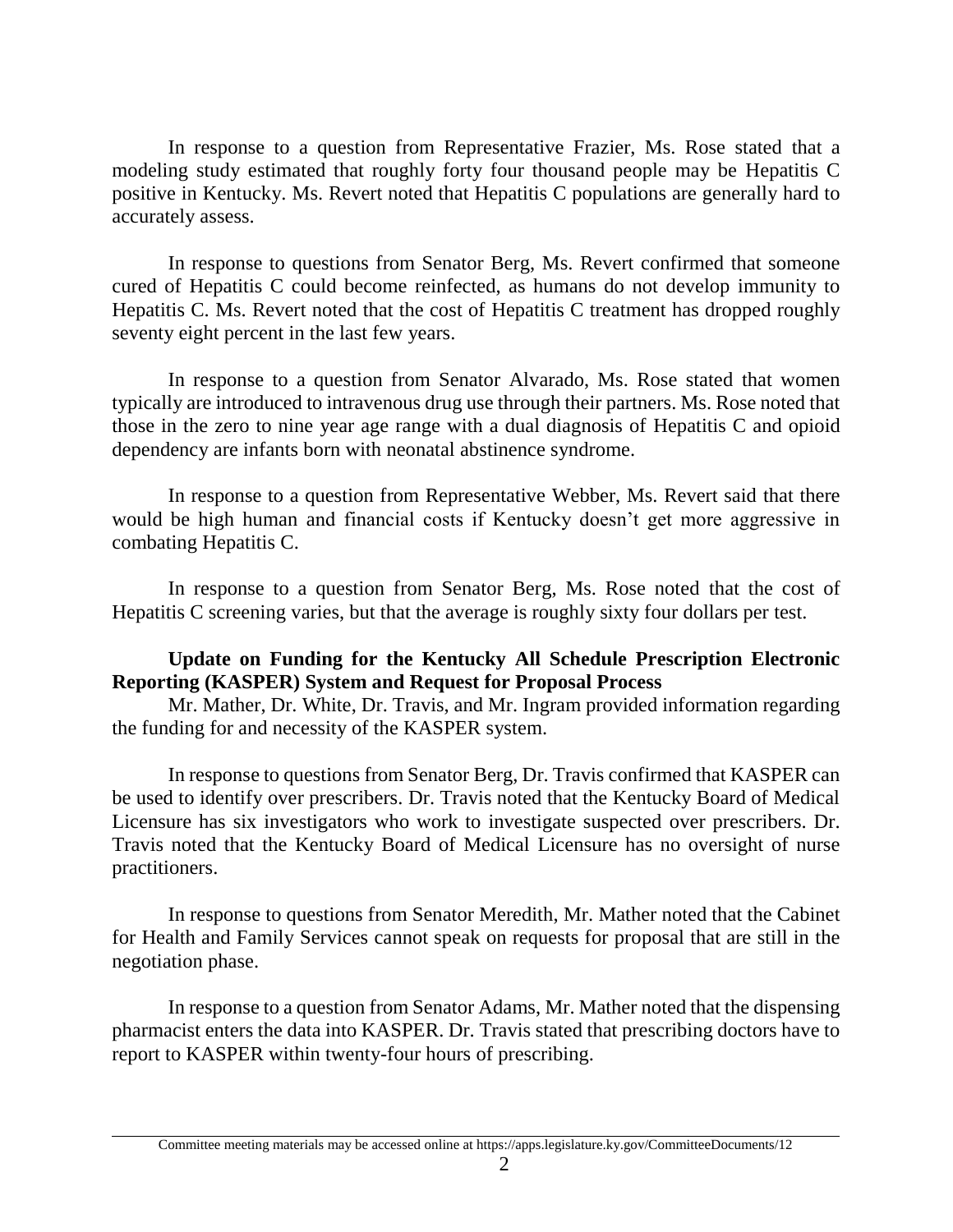In response to a question from Representative Frazier, Ms. Rose stated that a modeling study estimated that roughly forty four thousand people may be Hepatitis C positive in Kentucky. Ms. Revert noted that Hepatitis C populations are generally hard to accurately assess.

In response to questions from Senator Berg, Ms. Revert confirmed that someone cured of Hepatitis C could become reinfected, as humans do not develop immunity to Hepatitis C. Ms. Revert noted that the cost of Hepatitis C treatment has dropped roughly seventy eight percent in the last few years.

In response to a question from Senator Alvarado, Ms. Rose stated that women typically are introduced to intravenous drug use through their partners. Ms. Rose noted that those in the zero to nine year age range with a dual diagnosis of Hepatitis C and opioid dependency are infants born with neonatal abstinence syndrome.

In response to a question from Representative Webber, Ms. Revert said that there would be high human and financial costs if Kentucky doesn't get more aggressive in combating Hepatitis C.

In response to a question from Senator Berg, Ms. Rose noted that the cost of Hepatitis C screening varies, but that the average is roughly sixty four dollars per test.

### **Update on Funding for the Kentucky All Schedule Prescription Electronic Reporting (KASPER) System and Request for Proposal Process**

Mr. Mather, Dr. White, Dr. Travis, and Mr. Ingram provided information regarding the funding for and necessity of the KASPER system.

In response to questions from Senator Berg, Dr. Travis confirmed that KASPER can be used to identify over prescribers. Dr. Travis noted that the Kentucky Board of Medical Licensure has six investigators who work to investigate suspected over prescribers. Dr. Travis noted that the Kentucky Board of Medical Licensure has no oversight of nurse practitioners.

In response to questions from Senator Meredith, Mr. Mather noted that the Cabinet for Health and Family Services cannot speak on requests for proposal that are still in the negotiation phase.

In response to a question from Senator Adams, Mr. Mather noted that the dispensing pharmacist enters the data into KASPER. Dr. Travis stated that prescribing doctors have to report to KASPER within twenty-four hours of prescribing.

Committee meeting materials may be accessed online at https://apps.legislature.ky.gov/CommitteeDocuments/12